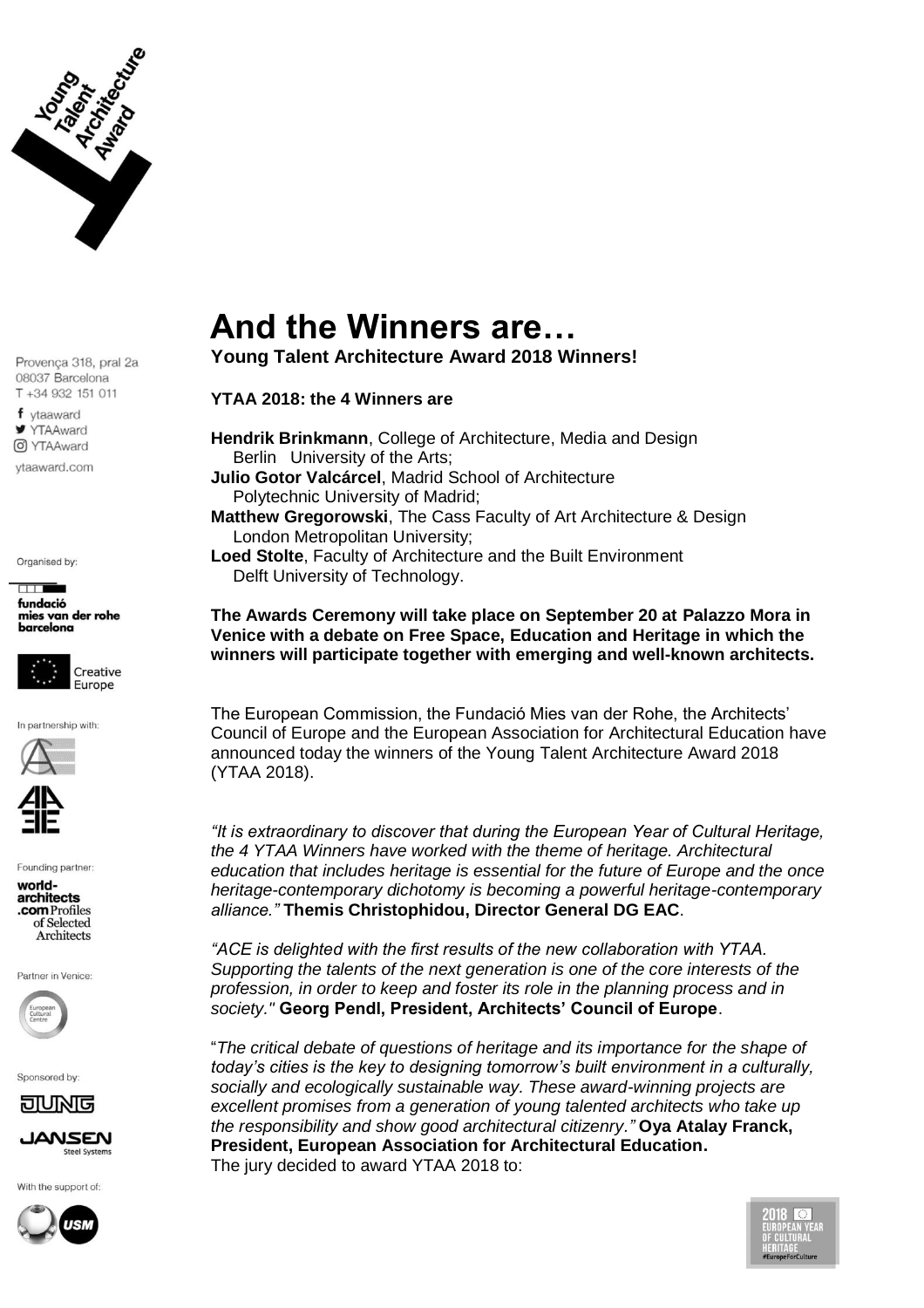

f vtaaward **■ YTAAward** O YTAAward

vtaaward.com

Organised by:

 $\Box$ fundació mies van der rohe barcelona



In partnership with:



Founding partner:

worldarchitects .com Profiles of Selected Architects

Partner in Venice:



Sponsored by:



IANSEN **Steel Systems** 

With the support of:



## **And the Winners are…**

**Young Talent Architecture Award 2018 Winners!**

## **YTAA 2018: the 4 Winners are**

**Hendrik Brinkmann**, College of Architecture, Media and Design Berlin University of the Arts; **Julio Gotor Valcárcel**, Madrid School of Architecture Polytechnic University of Madrid; **Matthew Gregorowski**, The Cass Faculty of Art Architecture & Design London Metropolitan University; **Loed Stolte**, Faculty of Architecture and the Built Environment Delft University of Technology.

**The Awards Ceremony will take place on September 20 at Palazzo Mora in Venice with a debate on Free Space, Education and Heritage in which the winners will participate together with emerging and well-known architects.**

The European Commission, the Fundació Mies van der Rohe, the Architects' Council of Europe and the European Association for Architectural Education have announced today the winners of the Young Talent Architecture Award 2018 (YTAA 2018).

*"It is extraordinary to discover that during the European Year of Cultural Heritage, the 4 YTAA Winners have worked with the theme of heritage. Architectural education that includes heritage is essential for the future of Europe and the once heritage-contemporary dichotomy is becoming a powerful heritage-contemporary alliance."* **Themis Christophidou, Director General DG EAC**.

*"ACE is delighted with the first results of the new collaboration with YTAA. Supporting the talents of the next generation is one of the core interests of the profession, in order to keep and foster its role in the planning process and in society."* **Georg Pendl, President, Architects' Council of Europe**.

"*The critical debate of questions of heritage and its importance for the shape of today's cities is the key to designing tomorrow's built environment in a culturally, socially and ecologically sustainable way. These award-winning projects are excellent promises from a generation of young talented architects who take up the responsibility and show good architectural citizenry."* **Oya Atalay Franck, President, European Association for Architectural Education.** The jury decided to award YTAA 2018 to:

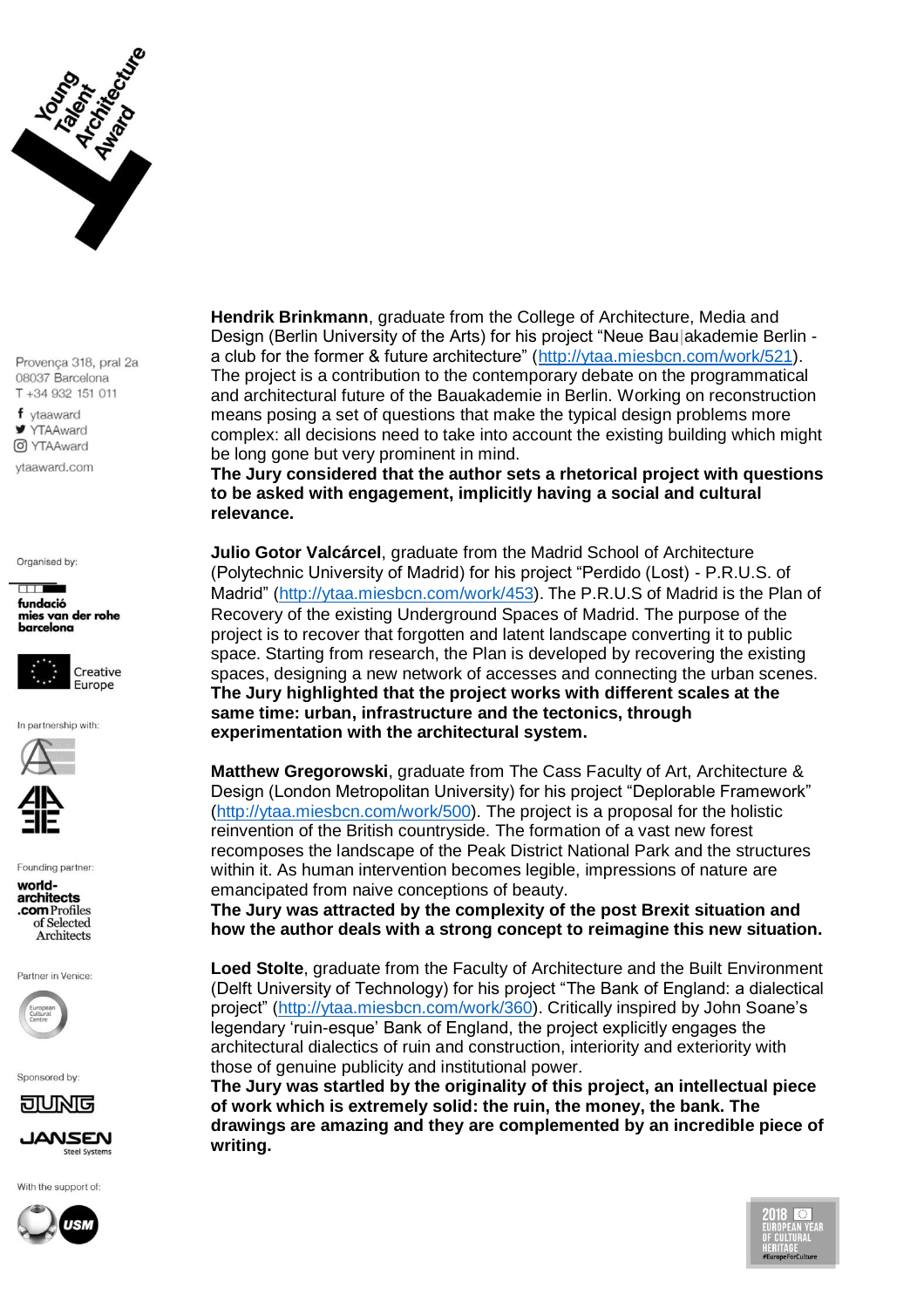

f vtaaward **Y** YTAAward O YTAAward

vtaaward.com

Organised by:





In partnership with:



Founding partner:

worldarchitects .com Profiles of Selected Architects

Partner in Venice:



Sponsored by:



**IANSEN Steel Systems** 

With the support of:



**Hendrik Brinkmann**, graduate from the College of Architecture, Media and Design (Berlin University of the Arts) for his project "Neue Bau|akademie Berlin a club for the former & future architecture" [\(http://ytaa.miesbcn.com/work/521\)](http://ytaa.miesbcn.com/work/521). The project is a contribution to the contemporary debate on the programmatical and architectural future of the Bauakademie in Berlin. Working on reconstruction means posing a set of questions that make the typical design problems more complex: all decisions need to take into account the existing building which might be long gone but very prominent in mind.

**The Jury considered that the author sets a rhetorical project with questions to be asked with engagement, implicitly having a social and cultural relevance.**

**Julio Gotor Valcárcel**, graduate from the Madrid School of Architecture (Polytechnic University of Madrid) for his project "Perdido (Lost) - P.R.U.S. of Madrid" [\(http://ytaa.miesbcn.com/work/453\)](http://ytaa.miesbcn.com/work/453). The P.R.U.S of Madrid is the Plan of Recovery of the existing Underground Spaces of Madrid. The purpose of the project is to recover that forgotten and latent landscape converting it to public space. Starting from research, the Plan is developed by recovering the existing spaces, designing a new network of accesses and connecting the urban scenes. **The Jury highlighted that the project works with different scales at the same time: urban, infrastructure and the tectonics, through experimentation with the architectural system.**

**Matthew Gregorowski**, graduate from The Cass Faculty of Art, Architecture & Design (London Metropolitan University) for his project "Deplorable Framework" [\(http://ytaa.miesbcn.com/work/500\)](http://ytaa.miesbcn.com/work/500). The project is a proposal for the holistic reinvention of the British countryside. The formation of a vast new forest recomposes the landscape of the Peak District National Park and the structures within it. As human intervention becomes legible, impressions of nature are emancipated from naive conceptions of beauty.

**The Jury was attracted by the complexity of the post Brexit situation and how the author deals with a strong concept to reimagine this new situation.**

**Loed Stolte**, graduate from the Faculty of Architecture and the Built Environment (Delft University of Technology) for his project "The Bank of England: a dialectical project" [\(http://ytaa.miesbcn.com/work/360\)](http://ytaa.miesbcn.com/work/360). Critically inspired by John Soane's legendary 'ruin-esque' Bank of England, the project explicitly engages the architectural dialectics of ruin and construction, interiority and exteriority with those of genuine publicity and institutional power.

**The Jury was startled by the originality of this project, an intellectual piece of work which is extremely solid: the ruin, the money, the bank. The drawings are amazing and they are complemented by an incredible piece of writing.**

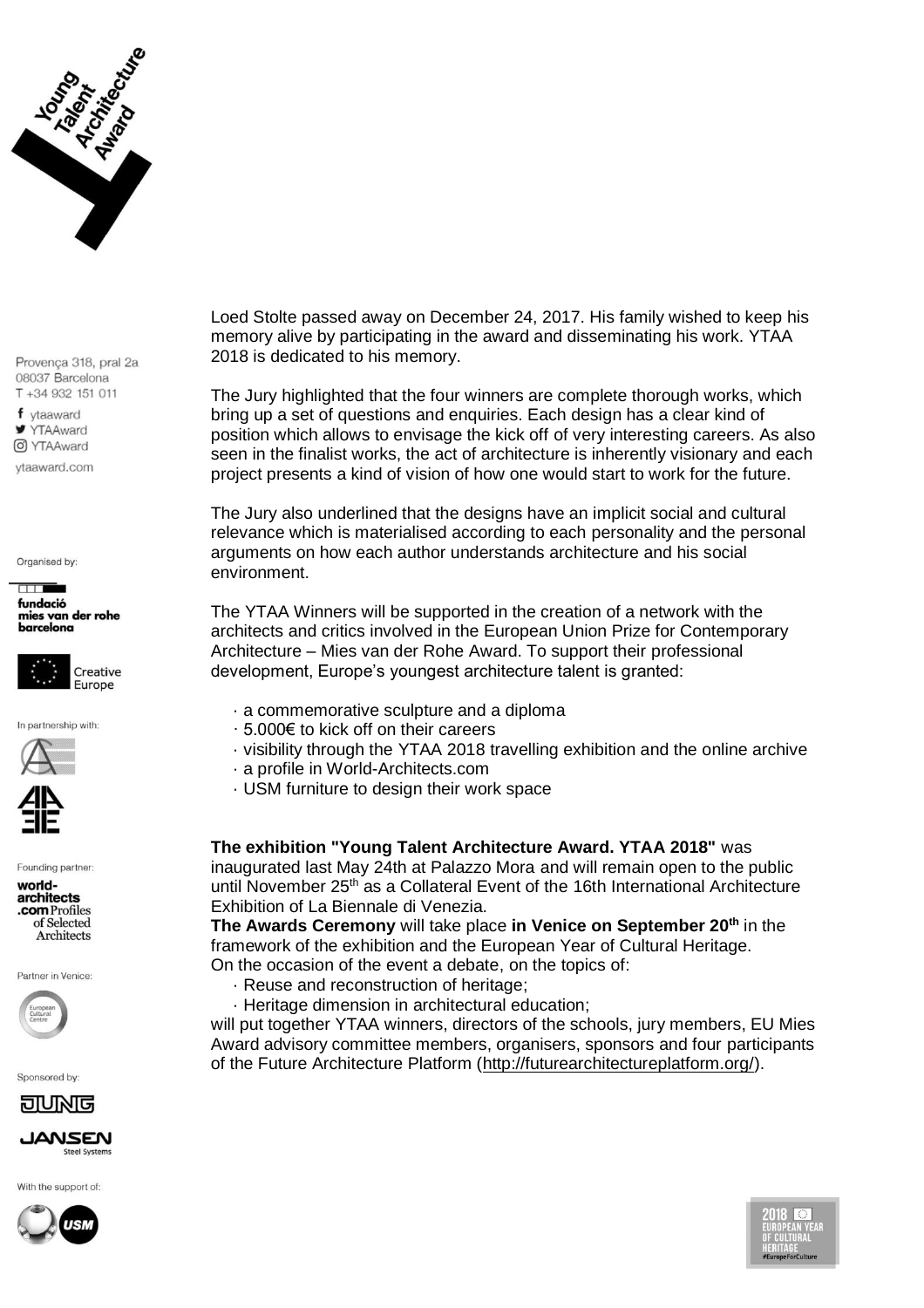

f vtaaward **YTAAward** O YTAAward

vtaaward.com

Organised by:

## $\Box$ fundació mies van der rohe barcelona



In partnership with:



Founding partner:

worldarchitects .com Profiles of Selected Architects

Partner in Venice:



Sponsored by:

<u>anna e</u>



With the support of:



Loed Stolte passed away on December 24, 2017. His family wished to keep his memory alive by participating in the award and disseminating his work. YTAA 2018 is dedicated to his memory.

The Jury highlighted that the four winners are complete thorough works, which bring up a set of questions and enquiries. Each design has a clear kind of position which allows to envisage the kick off of very interesting careers. As also seen in the finalist works, the act of architecture is inherently visionary and each project presents a kind of vision of how one would start to work for the future.

The Jury also underlined that the designs have an implicit social and cultural relevance which is materialised according to each personality and the personal arguments on how each author understands architecture and his social environment.

The YTAA Winners will be supported in the creation of a network with the architects and critics involved in the European Union Prize for Contemporary Architecture – Mies van der Rohe Award. To support their professional development, Europe's youngest architecture talent is granted:

- · a commemorative sculpture and a diploma
- · 5.000€ to kick off on their careers
- · visibility through the YTAA 2018 travelling exhibition and the online archive
- · a profile in World-Architects.com
- · USM furniture to design their work space

**The exhibition "Young Talent Architecture Award. YTAA 2018"** was inaugurated last May 24th at Palazzo Mora and will remain open to the public until November 25<sup>th</sup> as a Collateral Event of the 16th International Architecture Exhibition of La Biennale di Venezia.

**The Awards Ceremony** will take place **in Venice on September 20th** in the framework of the exhibition and the European Year of Cultural Heritage. On the occasion of the event a debate, on the topics of:

- · Reuse and reconstruction of heritage;
- · Heritage dimension in architectural education;

will put together YTAA winners, directors of the schools, jury members, EU Mies Award advisory committee members, organisers, sponsors and four participants of the Future Architecture Platform [\(http://futurearchitectureplatform.org/\)](http://futurearchitectureplatform.org/).